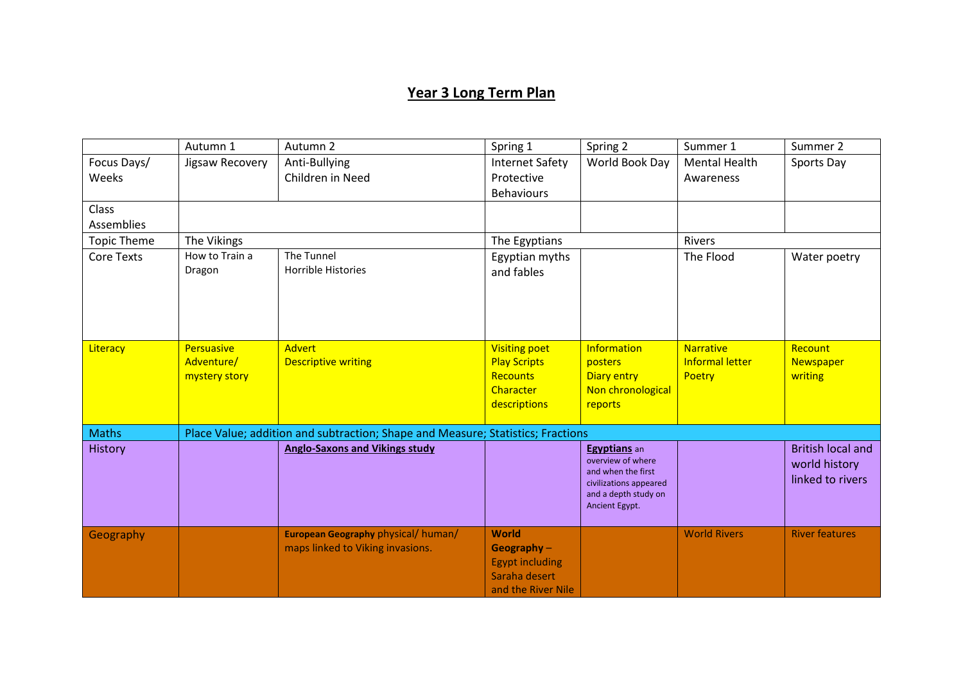## **Year 3 Long Term Plan**

| Autumn 1                                                                        | Autumn 2                                         | Spring 1                                                                                                               | Spring 2                                                                                                                                                  | Summer 1                                                                                                                                                            | Summer 2                                                                    |
|---------------------------------------------------------------------------------|--------------------------------------------------|------------------------------------------------------------------------------------------------------------------------|-----------------------------------------------------------------------------------------------------------------------------------------------------------|---------------------------------------------------------------------------------------------------------------------------------------------------------------------|-----------------------------------------------------------------------------|
| Jigsaw Recovery                                                                 | Anti-Bullying                                    | <b>Internet Safety</b>                                                                                                 | World Book Day                                                                                                                                            | <b>Mental Health</b>                                                                                                                                                | Sports Day                                                                  |
|                                                                                 | Children in Need                                 | Protective                                                                                                             |                                                                                                                                                           | Awareness                                                                                                                                                           |                                                                             |
|                                                                                 |                                                  | <b>Behaviours</b>                                                                                                      |                                                                                                                                                           |                                                                                                                                                                     |                                                                             |
|                                                                                 |                                                  |                                                                                                                        |                                                                                                                                                           |                                                                                                                                                                     |                                                                             |
|                                                                                 |                                                  |                                                                                                                        |                                                                                                                                                           |                                                                                                                                                                     |                                                                             |
| The Vikings                                                                     |                                                  | The Egyptians                                                                                                          |                                                                                                                                                           | <b>Rivers</b>                                                                                                                                                       |                                                                             |
| How to Train a                                                                  | The Tunnel                                       | Egyptian myths                                                                                                         |                                                                                                                                                           | The Flood                                                                                                                                                           | Water poetry                                                                |
| Dragon                                                                          | Horrible Histories                               | and fables                                                                                                             |                                                                                                                                                           |                                                                                                                                                                     |                                                                             |
|                                                                                 |                                                  |                                                                                                                        |                                                                                                                                                           |                                                                                                                                                                     |                                                                             |
|                                                                                 |                                                  |                                                                                                                        |                                                                                                                                                           |                                                                                                                                                                     |                                                                             |
|                                                                                 |                                                  |                                                                                                                        |                                                                                                                                                           |                                                                                                                                                                     |                                                                             |
|                                                                                 |                                                  |                                                                                                                        |                                                                                                                                                           |                                                                                                                                                                     |                                                                             |
|                                                                                 |                                                  |                                                                                                                        |                                                                                                                                                           |                                                                                                                                                                     | Recount                                                                     |
|                                                                                 |                                                  |                                                                                                                        |                                                                                                                                                           |                                                                                                                                                                     | Newspaper                                                                   |
|                                                                                 |                                                  |                                                                                                                        |                                                                                                                                                           |                                                                                                                                                                     | writing                                                                     |
|                                                                                 |                                                  |                                                                                                                        |                                                                                                                                                           |                                                                                                                                                                     |                                                                             |
|                                                                                 |                                                  |                                                                                                                        |                                                                                                                                                           |                                                                                                                                                                     |                                                                             |
| Place Value; addition and subtraction; Shape and Measure; Statistics; Fractions |                                                  |                                                                                                                        |                                                                                                                                                           |                                                                                                                                                                     |                                                                             |
|                                                                                 | <b>Anglo-Saxons and Vikings study</b>            |                                                                                                                        | Egyptians an                                                                                                                                              |                                                                                                                                                                     | <b>British local and</b>                                                    |
|                                                                                 |                                                  |                                                                                                                        |                                                                                                                                                           |                                                                                                                                                                     | world history                                                               |
|                                                                                 |                                                  |                                                                                                                        |                                                                                                                                                           |                                                                                                                                                                     | linked to rivers                                                            |
|                                                                                 |                                                  |                                                                                                                        | and a depth study on                                                                                                                                      |                                                                                                                                                                     |                                                                             |
|                                                                                 |                                                  |                                                                                                                        |                                                                                                                                                           |                                                                                                                                                                     |                                                                             |
|                                                                                 |                                                  |                                                                                                                        |                                                                                                                                                           |                                                                                                                                                                     | <b>River features</b>                                                       |
|                                                                                 |                                                  |                                                                                                                        |                                                                                                                                                           |                                                                                                                                                                     |                                                                             |
|                                                                                 |                                                  |                                                                                                                        |                                                                                                                                                           |                                                                                                                                                                     |                                                                             |
|                                                                                 |                                                  |                                                                                                                        |                                                                                                                                                           |                                                                                                                                                                     |                                                                             |
|                                                                                 |                                                  | and the River Nile                                                                                                     |                                                                                                                                                           |                                                                                                                                                                     |                                                                             |
|                                                                                 | <b>Persuasive</b><br>Adventure/<br>mystery story | <b>Advert</b><br><b>Descriptive writing</b><br>European Geography physical/ human/<br>maps linked to Viking invasions. | <b>Visiting poet</b><br><b>Play Scripts</b><br>Recounts<br>Character<br>descriptions<br>World<br>Geography $-$<br><b>Egypt including</b><br>Saraha desert | Information<br>posters<br><b>Diary entry</b><br>Non chronological<br>reports<br>overview of where<br>and when the first<br>civilizations appeared<br>Ancient Egypt. | <b>Narrative</b><br><b>Informal letter</b><br>Poetry<br><b>World Rivers</b> |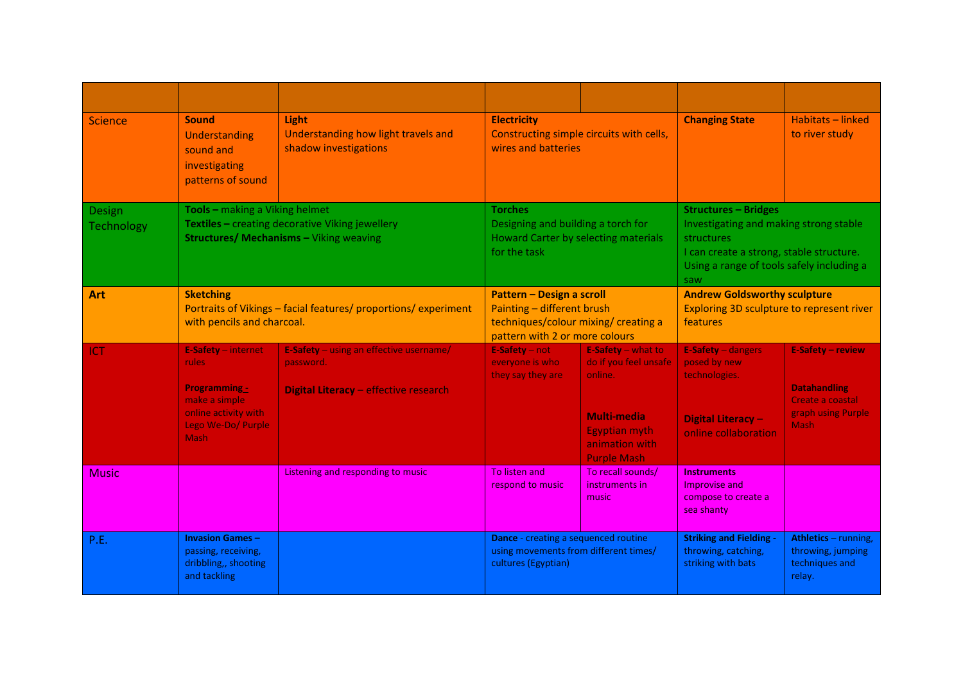| <b>Science</b>              | <b>Sound</b><br>Understanding<br>sound and<br>investigating<br>patterns of sound                                                    | Light<br>Understanding how light travels and<br>shadow investigations                                | <b>Electricity</b><br>Constructing simple circuits with cells,<br>wires and batteries                                                    |                                                                                                                                       | <b>Changing State</b>                                                                                                                                                               | Habitats - linked<br>to river study                                                               |
|-----------------------------|-------------------------------------------------------------------------------------------------------------------------------------|------------------------------------------------------------------------------------------------------|------------------------------------------------------------------------------------------------------------------------------------------|---------------------------------------------------------------------------------------------------------------------------------------|-------------------------------------------------------------------------------------------------------------------------------------------------------------------------------------|---------------------------------------------------------------------------------------------------|
| Design<br><b>Technology</b> | Tools - making a Viking helmet<br>Textiles - creating decorative Viking jewellery<br><b>Structures/ Mechanisms - Viking weaving</b> |                                                                                                      | <b>Torches</b><br>Designing and building a torch for<br>Howard Carter by selecting materials<br>for the task                             |                                                                                                                                       | <b>Structures - Bridges</b><br>Investigating and making strong stable<br>structures<br>I can create a strong, stable structure.<br>Using a range of tools safely including a<br>saw |                                                                                                   |
| Art                         | <b>Sketching</b><br>Portraits of Vikings - facial features/ proportions/ experiment<br>with pencils and charcoal.                   |                                                                                                      | <b>Pattern - Design a scroll</b><br>Painting - different brush<br>techniques/colour mixing/ creating a<br>pattern with 2 or more colours |                                                                                                                                       | <b>Andrew Goldsworthy sculpture</b><br>Exploring 3D sculpture to represent river<br><b>features</b>                                                                                 |                                                                                                   |
| ICT                         | E-Safety - internet<br>rules.<br><b>Programming -</b><br>make a simple<br>online activity with<br>Lego We-Do/ Purple<br><b>Mash</b> | <b>E-Safety</b> – using an effective username/<br>password.<br>Digital Literacy - effective research | E-Safety - not<br>everyone is who<br>they say they are                                                                                   | E-Safety - what to<br>do if you feel unsafe<br>online.<br>Multi-media<br><b>Egyptian myth</b><br>animation with<br><b>Purple Mash</b> | E-Safety - dangers<br>posed by new<br>technologies.<br><b>Digital Literacy-</b><br>online collaboration                                                                             | E-Safety - review<br><b>Datahandling</b><br>Create a coastal<br>graph using Purple<br><b>Mash</b> |
| <b>Music</b>                |                                                                                                                                     | Listening and responding to music                                                                    | To listen and<br>respond to music                                                                                                        | To recall sounds/<br>instruments in<br>music                                                                                          | <b>Instruments</b><br>Improvise and<br>compose to create a<br>sea shanty                                                                                                            |                                                                                                   |
| P.E.                        | <b>Invasion Games-</b><br>passing, receiving,<br>dribbling,, shooting<br>and tackling                                               |                                                                                                      | Dance - creating a sequenced routine<br>using movements from different times/<br>cultures (Egyptian)                                     |                                                                                                                                       | <b>Striking and Fielding -</b><br>throwing, catching,<br>striking with bats                                                                                                         | Athletics - running,<br>throwing, jumping<br>techniques and<br>relay.                             |